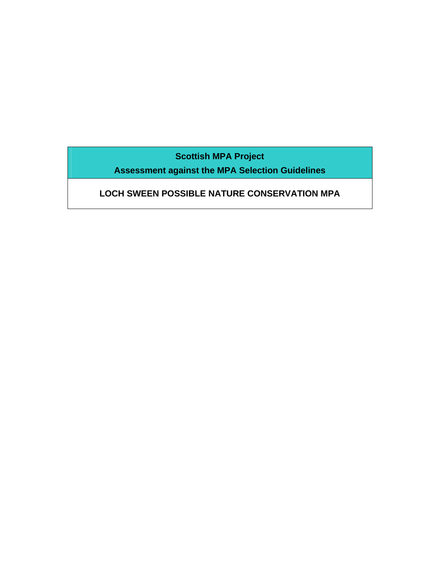**Scottish MPA Project** 

**Assessment against the MPA Selection Guidelines** 

# **LOCH SWEEN POSSIBLE NATURE CONSERVATION MPA**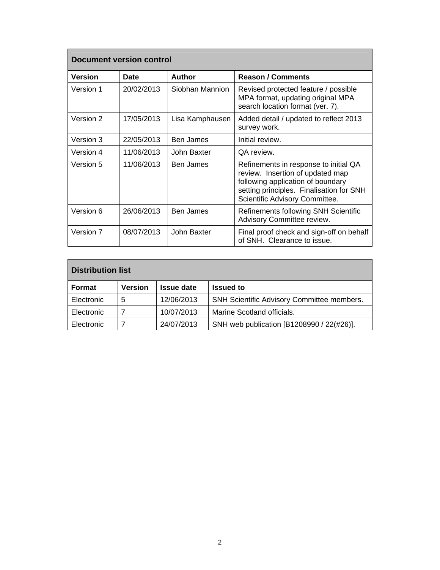| <b>Document version control</b> |             |                  |                                                                                                                                                                                              |
|---------------------------------|-------------|------------------|----------------------------------------------------------------------------------------------------------------------------------------------------------------------------------------------|
| <b>Version</b>                  | <b>Date</b> | Author           | <b>Reason / Comments</b>                                                                                                                                                                     |
| Version 1                       | 20/02/2013  | Siobhan Mannion  | Revised protected feature / possible<br>MPA format, updating original MPA<br>search location format (ver. 7).                                                                                |
| Version 2                       | 17/05/2013  | Lisa Kamphausen  | Added detail / updated to reflect 2013<br>survey work.                                                                                                                                       |
| Version 3                       | 22/05/2013  | Ben James        | Initial review.                                                                                                                                                                              |
| Version 4                       | 11/06/2013  | John Baxter      | QA review.                                                                                                                                                                                   |
| Version 5                       | 11/06/2013  | Ben James        | Refinements in response to initial QA<br>review. Insertion of updated map<br>following application of boundary<br>setting principles. Finalisation for SNH<br>Scientific Advisory Committee. |
| Version 6                       | 26/06/2013  | <b>Ben James</b> | Refinements following SNH Scientific<br>Advisory Committee review.                                                                                                                           |
| Version 7                       | 08/07/2013  | John Baxter      | Final proof check and sign-off on behalf<br>of SNH. Clearance to issue.                                                                                                                      |

| Distribution list |                |                   |                                                   |
|-------------------|----------------|-------------------|---------------------------------------------------|
| Format            | <b>Version</b> | <b>Issue date</b> | <b>Issued to</b>                                  |
| Electronic        | 5              | 12/06/2013        | <b>SNH Scientific Advisory Committee members.</b> |
| Electronic        |                | 10/07/2013        | Marine Scotland officials.                        |
| Electronic        |                | 24/07/2013        | SNH web publication [B1208990 / 22(#26)].         |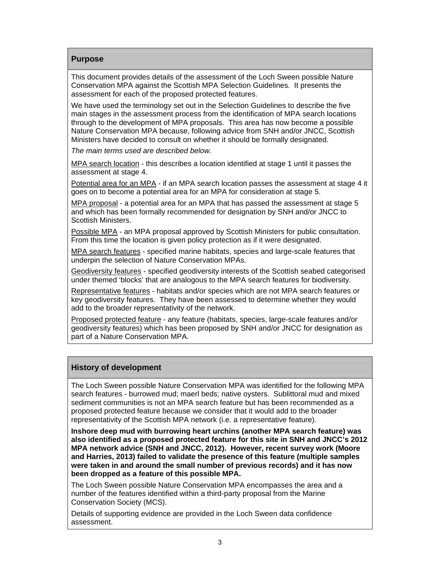# **Purpose**

This document provides details of the assessment of the Loch Sween possible Nature Conservation MPA against the Scottish MPA Selection Guidelines. It presents the assessment for each of the proposed protected features.

We have used the terminology set out in the Selection Guidelines to describe the five main stages in the assessment process from the identification of MPA search locations through to the development of MPA proposals. This area has now become a possible Nature Conservation MPA because, following advice from SNH and/or JNCC, Scottish Ministers have decided to consult on whether it should be formally designated.

*The main terms used are described below.* 

MPA search location - this describes a location identified at stage 1 until it passes the assessment at stage 4.

Potential area for an MPA - if an MPA search location passes the assessment at stage 4 it goes on to become a potential area for an MPA for consideration at stage 5.

MPA proposal - a potential area for an MPA that has passed the assessment at stage 5 and which has been formally recommended for designation by SNH and/or JNCC to Scottish Ministers.

Possible MPA - an MPA proposal approved by Scottish Ministers for public consultation. From this time the location is given policy protection as if it were designated.

MPA search features - specified marine habitats, species and large-scale features that underpin the selection of Nature Conservation MPAs.

Geodiversity features - specified geodiversity interests of the Scottish seabed categorised under themed 'blocks' that are analogous to the MPA search features for biodiversity.

Representative features - habitats and/or species which are not MPA search features or key geodiversity features. They have been assessed to determine whether they would add to the broader representativity of the network.

Proposed protected feature - any feature (habitats, species, large-scale features and/or geodiversity features) which has been proposed by SNH and/or JNCC for designation as part of a Nature Conservation MPA.

# **History of development**

The Loch Sween possible Nature Conservation MPA was identified for the following MPA search features - burrowed mud; maerl beds; native oysters. Sublittoral mud and mixed sediment communities is not an MPA search feature but has been recommended as a proposed protected feature because we consider that it would add to the broader representativity of the Scottish MPA network (i.e. a representative feature).

**Inshore deep mud with burrowing heart urchins (another MPA search feature) was also identified as a proposed protected feature for this site in SNH and JNCC's 2012 MPA network advice (SNH and JNCC, 2012). However, recent survey work (Moore and Harries, 2013) failed to validate the presence of this feature (multiple samples were taken in and around the small number of previous records) and it has now been dropped as a feature of this possible MPA.** 

The Loch Sween possible Nature Conservation MPA encompasses the area and a number of the features identified within a third-party proposal from the Marine Conservation Society (MCS).

Details of supporting evidence are provided in the Loch Sween data confidence assessment.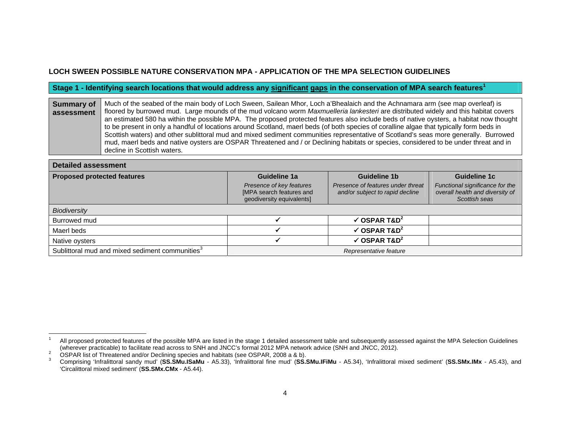# **LOCH SWEEN POSSIBLE NATURE CONSERVATION MPA - APPLICATION OF THE MPA SELECTION GUIDELINES**

#### **Stage 1 - Identifying search locations that would address any significant gaps in the conservation of MPA search features<sup>1</sup>**

**Summary of assessment**Much of the seabed of the main body of Loch Sween, Sailean Mhor, Loch a'Bhealaich and the Achnamara arm (see map overleaf) is floored by burrowed mud. Large mounds of the mud volcano worm *Maxmuelleria lankesteri* are distributed widely and this habitat covers an estimated 580 ha within the possible MPA. The proposed protected features also include beds of native oysters, a habitat now thought to be present in only a handful of locations around Scotland, maerl beds (of both species of coralline algae that typically form beds in Scottish waters) and other sublittoral mud and mixed sediment communities representative of Scotland's seas more generally. Burrowed mud, maerl beds and native oysters are OSPAR Threatened and / or Declining habitats or species, considered to be under threat and in decline in Scottish waters.

| <b>Detailed assessment</b>                                  |                                                                                   |                                                                      |                                                                                     |
|-------------------------------------------------------------|-----------------------------------------------------------------------------------|----------------------------------------------------------------------|-------------------------------------------------------------------------------------|
| <b>Proposed protected features</b>                          | Guideline 1a                                                                      | Guideline 1b                                                         | Guideline 1c                                                                        |
|                                                             | Presence of key features<br>[MPA search features and<br>geodiversity equivalents] | Presence of features under threat<br>and/or subject to rapid decline | Functional significance for the<br>overall health and diversity of<br>Scottish seas |
| <b>Biodiversity</b>                                         |                                                                                   |                                                                      |                                                                                     |
| Burrowed mud                                                |                                                                                   | $\checkmark$ OSPAR T&D <sup>2</sup>                                  |                                                                                     |
| Maerl beds                                                  |                                                                                   | $\checkmark$ OSPAR T&D <sup>2</sup>                                  |                                                                                     |
| Native oysters                                              |                                                                                   | $\checkmark$ OSPAR T&D <sup>2</sup>                                  |                                                                                     |
| Sublittoral mud and mixed sediment communities <sup>3</sup> |                                                                                   | Representative feature                                               |                                                                                     |

All proposed protected features of the possible MPA are listed in the stage 1 detailed assessment table and subsequently assessed against the MPA Selection Guidelines (wherever practicable) to facilitate read across to SNH

<sup>2</sup> OSPAR list of Threatened and/or Declining species and habitats (see OSPAR, 2008 a & b).<br>3 Comprising 'Infralittoral sandy mud' (SS.SMu.ISaMu - A5.33), 'Infralittoral fine mud' (SS.SMu.IFiMu - A5.34), 'Infralittoral mixed 'Circalittoral mixed sediment' (**SS.SMx.CMx** - A5.44).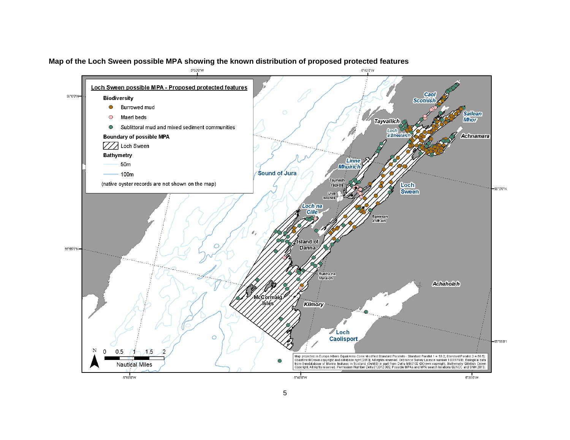

### **Map of the Loch Sween possible MPA showing the known distribution of proposed protected features**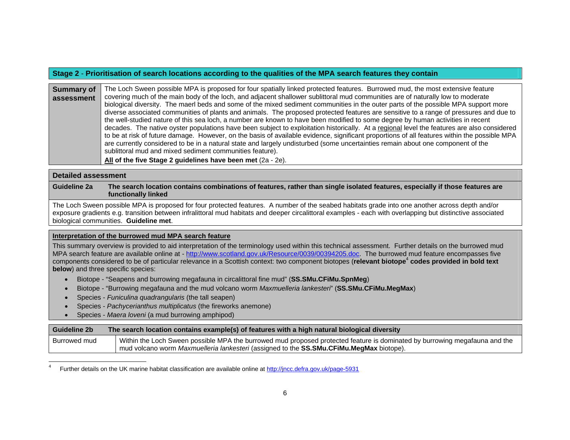## **Stage 2** - **Prioritisation of search locations according to the qualities of the MPA search features they contain**

**Summary of assessment**The Loch Sween possible MPA is proposed for four spatially linked protected features. Burrowed mud, the most extensive feature covering much of the main body of the loch, and adjacent shallower sublittoral mud communities are of naturally low to moderate biological diversity. The maerl beds and some of the mixed sediment communities in the outer parts of the possible MPA support more diverse associated communities of plants and animals. The proposed protected features are sensitive to a range of pressures and due to the well-studied nature of this sea loch, a number are known to have been modified to some degree by human activities in recent decades. The native oyster populations have been subject to exploitation historically. At a regional level the features are also considered to be at risk of future damage. However, on the basis of available evidence, significant proportions of all features within the possible MPA are currently considered to be in a natural state and largely undisturbed (some uncertainties remain about one component of the sublittoral mud and mixed sediment communities feature).

**All of the five Stage 2 guidelines have been met** (2a - 2e).

### **Detailed assessment**

**Guideline 2a The search location contains combinations of features, rather than single isolated features, especially if those features are functionally linked** 

The Loch Sween possible MPA is proposed for four protected features. A number of the seabed habitats grade into one another across depth and/or exposure gradients e.g. transition between infralittoral mud habitats and deeper circalittoral examples - each with overlapping but distinctive associated biological communities. **Guideline met**.

#### **Interpretation of the burrowed mud MPA search feature**

This summary overview is provided to aid interpretation of the terminology used within this technical assessment. Further details on the burrowed mud MPA search feature are available online at - http://www.scotland.gov.uk/Resource/0039/00394205.doc. The burrowed mud feature encompasses five components considered to be of particular relevance in a Scottish context: two component biotopes (**relevant biotope**<sup>4</sup> **codes provided in bold text below**) and three specific species:

- Biotope "Seapens and burrowing megafauna in circalittoral fine mud" (**SS.SMu.CFiMu.SpnMeg**)
- Biotope "Burrowing megafauna and the mud volcano worm *Maxmuelleria lankesteri*" (**SS.SMu.CFiMu.MegMax**)
- Species *Funiculina quadrangularis* (the tall seapen)
- Species *Pachycerianthus multiplicatus* (the fireworks anemone)
- Species *Maera loveni* (a mud burrowing amphipod)

| Guideline 2b | The search location contains example(s) of features with a high natural biological diversity                               |
|--------------|----------------------------------------------------------------------------------------------------------------------------|
| Burrowed mud | Within the Loch Sween possible MPA the burrowed mud proposed protected feature is dominated by burrowing megafauna and the |
|              | mud volcano worm <i>Maxmuelleria lankesteri</i> (assigned to the <b>SS.SMu.CFiMu.MegMax</b> biotope).                      |

Further details on the UK marine habitat classification are available online at http://jncc.defra.gov.uk/page-5931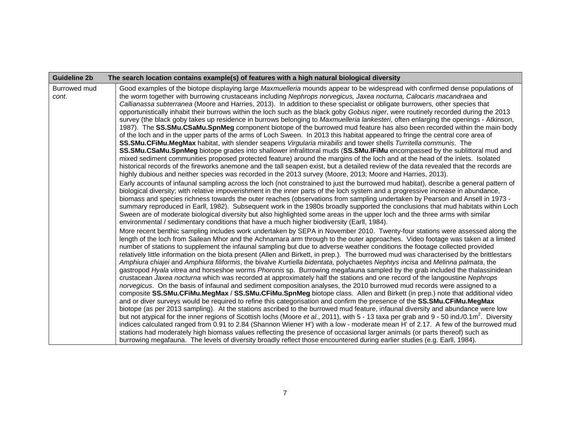| <b>Guideline 2b</b>   | The search location contains example(s) of features with a high natural biological diversity                                                                                                                                                                                                                                                                                                                                                                                                                                                                                                                                                                                                                                                                                                                                                                                                                                                                                                                                                                                                                                                                                                                                                                                                                                                                                                                                                                                                                                                                                                                                                                                                                                                                                                                                                                                                                                                                                                                                                                                                                                                                                                                                                                                                                                                                                                                                                                                                                                                                                                                                                                                                                                                                                                                                                                                                                                                                                                                                                                                                                                                                                                                                                                                                                                                                                                                                                                                                                                                                                                                                                                                                                                                                                                                                                                                                                                                                                                                                                                                                                                                                                                                                                                                                                                                                                                   |
|-----------------------|------------------------------------------------------------------------------------------------------------------------------------------------------------------------------------------------------------------------------------------------------------------------------------------------------------------------------------------------------------------------------------------------------------------------------------------------------------------------------------------------------------------------------------------------------------------------------------------------------------------------------------------------------------------------------------------------------------------------------------------------------------------------------------------------------------------------------------------------------------------------------------------------------------------------------------------------------------------------------------------------------------------------------------------------------------------------------------------------------------------------------------------------------------------------------------------------------------------------------------------------------------------------------------------------------------------------------------------------------------------------------------------------------------------------------------------------------------------------------------------------------------------------------------------------------------------------------------------------------------------------------------------------------------------------------------------------------------------------------------------------------------------------------------------------------------------------------------------------------------------------------------------------------------------------------------------------------------------------------------------------------------------------------------------------------------------------------------------------------------------------------------------------------------------------------------------------------------------------------------------------------------------------------------------------------------------------------------------------------------------------------------------------------------------------------------------------------------------------------------------------------------------------------------------------------------------------------------------------------------------------------------------------------------------------------------------------------------------------------------------------------------------------------------------------------------------------------------------------------------------------------------------------------------------------------------------------------------------------------------------------------------------------------------------------------------------------------------------------------------------------------------------------------------------------------------------------------------------------------------------------------------------------------------------------------------------------------------------------------------------------------------------------------------------------------------------------------------------------------------------------------------------------------------------------------------------------------------------------------------------------------------------------------------------------------------------------------------------------------------------------------------------------------------------------------------------------------------------------------------------------------------------------------------------------------------------------------------------------------------------------------------------------------------------------------------------------------------------------------------------------------------------------------------------------------------------------------------------------------------------------------------------------------------------------------------------------------------------------------------------------------------------------|
| Burrowed mud<br>cont. | Good examples of the biotope displaying large Maxmuelleria mounds appear to be widespread with confirmed dense populations of<br>the worm together with burrowing crustaceans including Nephrops norvegicus, Jaxea nocturna, Calocaris macandraea and<br>Callianassa subterranea (Moore and Harries, 2013). In addition to these specialist or obligate burrowers, other species that<br>opportunistically inhabit their burrows within the loch such as the black goby Gobius niger, were routinely recorded during the 2013<br>survey (the black goby takes up residence in burrows belonging to Maxmuelleria lankesteri, often enlarging the openings - Atkinson,<br>1987). The SS.SMu.CSaMu.SpnMeg component biotope of the burrowed mud feature has also been recorded within the main body<br>of the loch and in the upper parts of the arms of Loch Sween. In 2013 this habitat appeared to fringe the central core area of<br>SS.SMu.CFiMu.MegMax habitat, with slender seapens Virgularia mirabilis and tower shells Turritella communis. The<br>SS.SMu.CSaMu.SpnMeg biotope grades into shallower infralittoral muds (SS.SMu.IFiMu encompassed by the sublittoral mud and<br>mixed sediment communities proposed protected feature) around the margins of the loch and at the head of the inlets. Isolated<br>historical records of the fireworks anemone and the tall seapen exist, but a detailed review of the data revealed that the records are<br>highly dubious and neither species was recorded in the 2013 survey (Moore, 2013; Moore and Harries, 2013).<br>Early accounts of infaunal sampling across the loch (not constrained to just the burrowed mud habitat), describe a general pattern of<br>biological diversity; with relative impoverishment in the inner parts of the loch system and a progressive increase in abundance,<br>biomass and species richness towards the outer reaches (observations from sampling undertaken by Pearson and Ansell in 1973 -<br>summary reproduced in Earll, 1982). Subsequent work in the 1980s broadly supported the conclusions that mud habitats within Loch<br>Sween are of moderate biological diversity but also highlighted some areas in the upper loch and the three arms with similar<br>environmental / sedimentary conditions that have a much higher biodiversity (Earll, 1984).<br>More recent benthic sampling includes work undertaken by SEPA in November 2010. Twenty-four stations were assessed along the<br>length of the loch from Sailean Mhor and the Achnamara arm through to the outer approaches. Video footage was taken at a limited<br>number of stations to supplement the infaunal sampling but due to adverse weather conditions the footage collected provided<br>relatively little information on the biota present (Allen and Birkett, in prep.). The burrowed mud was characterised by the brittlestars<br>Amphiura chiajei and Amphiura filiformis, the bivalve Kurtiella bidentata, polychaetes Nephtys incisa and Melinna palmata, the<br>gastropod Hyala vitrea and horseshoe worms Phoronis sp. Burrowing megafauna sampled by the grab included the thalassinidean<br>crustacean Jaxea nocturna which was recorded at approximately half the stations and one record of the langoustine Nephrops<br>norvegicus. On the basis of infaunal and sediment composition analyses, the 2010 burrowed mud records were assigned to a<br>composite SS.SMu.CFiMu.MegMax / SS.SMu.CFiMu.SpnMeg biotope class. Allen and Birkett (in prep.) note that additional video<br>and or diver surveys would be required to refine this categorisation and confirm the presence of the SS.SMu.CFiMu.MegMax<br>biotope (as per 2013 sampling). At the stations ascribed to the burrowed mud feature, infaunal diversity and abundance were low<br>but not atypical for the inner regions of Scottish lochs (Moore et al., 2011), with 5 - 13 taxa per grab and 9 - 50 ind./0.1m <sup>2</sup> . Diversity<br>indices calculated ranged from 0.91 to 2.84 (Shannon Wiener H') with a low - moderate mean H' of 2.17. A few of the burrowed mud<br>stations had moderately high biomass values reflecting the presence of occasional larger animals (or parts thereof) such as<br>burrowing megafauna. The levels of diversity broadly reflect those encountered during earlier studies (e.g. Earll, 1984). |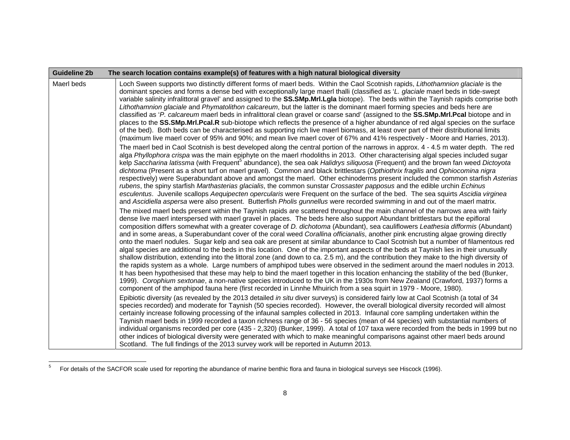| Guideline 2b | The search location contains example(s) of features with a high natural biological diversity                                                                                                                                                                                                                                                                                                                                                                                                                                                                                                                                                                                                                                                                                                                                                                                                                                                                                                                                                                                                                                                                                                                                                                                                                                                                                                                                                                                                     |
|--------------|--------------------------------------------------------------------------------------------------------------------------------------------------------------------------------------------------------------------------------------------------------------------------------------------------------------------------------------------------------------------------------------------------------------------------------------------------------------------------------------------------------------------------------------------------------------------------------------------------------------------------------------------------------------------------------------------------------------------------------------------------------------------------------------------------------------------------------------------------------------------------------------------------------------------------------------------------------------------------------------------------------------------------------------------------------------------------------------------------------------------------------------------------------------------------------------------------------------------------------------------------------------------------------------------------------------------------------------------------------------------------------------------------------------------------------------------------------------------------------------------------|
| Maerl beds   | Loch Sween supports two distinctly different forms of maerl beds. Within the Caol Scotnish rapids, Lithothamnion glaciale is the<br>dominant species and forms a dense bed with exceptionally large maerl thalli (classified as 'L. glaciale maerl beds in tide-swept<br>variable salinity infralittoral gravel' and assigned to the SS.SMp.Mrl.Lgla biotope). The beds within the Taynish rapids comprise both<br>Lithothamnion glaciale and Phymatolithon calcareum, but the latter is the dominant maerl forming species and beds here are<br>classified as 'P. calcareum maerl beds in infralittoral clean gravel or coarse sand' (assigned to the SS.SMp.Mrl.Pcal biotope and in<br>places to the SS.SMp.Mrl.Pcal.R sub-biotope which reflects the presence of a higher abundance of red algal species on the surface<br>of the bed). Both beds can be characterised as supporting rich live maerl biomass, at least over part of their distributional limits<br>(maximum live maerl cover of 95% and 90%; and mean live maerl cover of 67% and 41% respectively - Moore and Harries, 2013).                                                                                                                                                                                                                                                                                                                                                                                                |
|              | The maerl bed in Caol Scotnish is best developed along the central portion of the narrows in approx. 4 - 4.5 m water depth. The red<br>alga Phyllophora crispa was the main epiphyte on the maerl rhodoliths in 2013. Other characterising algal species included sugar<br>kelp Saccharina latissma (with Frequent <sup>5</sup> abundance), the sea oak Halidrys siliquosa (Frequent) and the brown fan weed Dictoyota<br>dichtoma (Present as a short turf on maerl gravel). Common and black brittlestars (Opthiothrix fragilis and Ophiocomina nigra<br>respectively) were Superabundant above and amongst the maerl. Other echinoderms present included the common starfish Asterias<br>rubens, the spiny starfish Marthasterias glacialis, the common sunstar Crossaster papposus and the edible urchin Echinus<br>esculentus. Juvenile scallops Aequipecten opercularis were Frequent on the surface of the bed. The sea squirts Ascidia virginea<br>and Ascidiella aspersa were also present. Butterfish Pholis gunnellus were recorded swimming in and out of the maerl matrix.                                                                                                                                                                                                                                                                                                                                                                                                          |
|              | The mixed maerl beds present within the Taynish rapids are scattered throughout the main channel of the narrows area with fairly<br>dense live maerl interspersed with maerl gravel in places. The beds here also support Abundant brittlestars but the epifloral<br>composition differs somewhat with a greater coverage of D. dichotoma (Abundant), sea cauliflowers Leathesia difformis (Abundant)<br>and in some areas, a Superabundant cover of the coral weed Corallina officianalis, another pink encrusting algae growing directly<br>onto the maerl nodules. Sugar kelp and sea oak are present at similar abundance to Caol Scotnish but a number of filamentous red<br>algal species are additional to the beds in this location. One of the important aspects of the beds at Taynish lies in their unusually<br>shallow distribution, extending into the littoral zone (and down to ca. 2.5 m), and the contribution they make to the high diversity of<br>the rapids system as a whole. Large numbers of amphipod tubes were observed in the sediment around the maerl nodules in 2013.<br>It has been hypothesised that these may help to bind the maerl together in this location enhancing the stability of the bed (Bunker,<br>1999). Corophium sextonae, a non-native species introduced to the UK in the 1930s from New Zealand (Crawford, 1937) forms a<br>component of the amphipod fauna here (first recorded in Linnhe Mhuirich from a sea squirt in 1979 - Moore, 1980). |
|              | Epibiotic diversity (as revealed by the 2013 detailed in situ diver surveys) is considered fairly low at Caol Scotnish (a total of 34<br>species recorded) and moderate for Taynish (50 species recorded). However, the overall biological diversity recorded will almost<br>certainly increase following processing of the infaunal samples collected in 2013. Infaunal core sampling undertaken within the<br>Taynish maerl beds in 1999 recorded a taxon richness range of 36 - 56 species (mean of 44 species) with substantial numbers of<br>individual organisms recorded per core (435 - 2,320) (Bunker, 1999). A total of 107 taxa were recorded from the beds in 1999 but no<br>other indices of biological diversity were generated with which to make meaningful comparisons against other maerl beds around<br>Scotland. The full findings of the 2013 survey work will be reported in Autumn 2013.                                                                                                                                                                                                                                                                                                                                                                                                                                                                                                                                                                                  |

<sup>5</sup> For details of the SACFOR scale used for reporting the abundance of marine benthic flora and fauna in biological surveys see Hiscock (1996).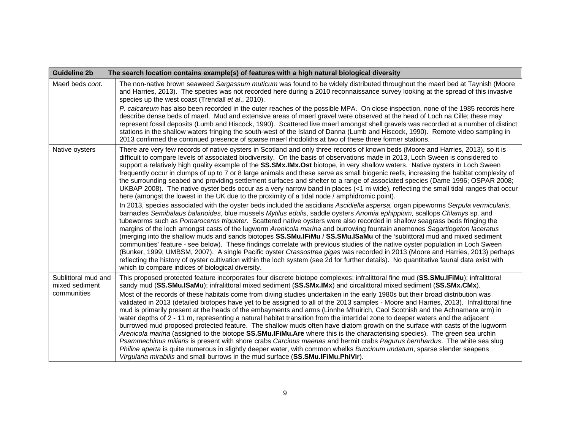| <b>Guideline 2b</b>                   | The search location contains example(s) of features with a high natural biological diversity                                                                                                                                                                                                                                                                                                                                                                                                                                                                                                                                                                                                                                                                                                                                                                                                                                                                                                                                                                                                                                                                                                                                                                                                                                                                                                                                                                                                                                                                                                                                                                                                                                                                                                                                                       |
|---------------------------------------|----------------------------------------------------------------------------------------------------------------------------------------------------------------------------------------------------------------------------------------------------------------------------------------------------------------------------------------------------------------------------------------------------------------------------------------------------------------------------------------------------------------------------------------------------------------------------------------------------------------------------------------------------------------------------------------------------------------------------------------------------------------------------------------------------------------------------------------------------------------------------------------------------------------------------------------------------------------------------------------------------------------------------------------------------------------------------------------------------------------------------------------------------------------------------------------------------------------------------------------------------------------------------------------------------------------------------------------------------------------------------------------------------------------------------------------------------------------------------------------------------------------------------------------------------------------------------------------------------------------------------------------------------------------------------------------------------------------------------------------------------------------------------------------------------------------------------------------------------|
| Maerl beds cont.                      | The non-native brown seaweed Sargassum muticum was found to be widely distributed throughout the maerl bed at Taynish (Moore<br>and Harries, 2013). The species was not recorded here during a 2010 reconnaissance survey looking at the spread of this invasive<br>species up the west coast (Trendall et al., 2010).                                                                                                                                                                                                                                                                                                                                                                                                                                                                                                                                                                                                                                                                                                                                                                                                                                                                                                                                                                                                                                                                                                                                                                                                                                                                                                                                                                                                                                                                                                                             |
|                                       | P. calcareum has also been recorded in the outer reaches of the possible MPA. On close inspection, none of the 1985 records here<br>describe dense beds of maerl. Mud and extensive areas of maerl gravel were observed at the head of Loch na Cille; these may<br>represent fossil deposits (Lumb and Hiscock, 1990). Scattered live maerl amongst shell gravels was recorded at a number of distinct<br>stations in the shallow waters fringing the south-west of the Island of Danna (Lumb and Hiscock, 1990). Remote video sampling in<br>2013 confirmed the continued presence of sparse maerl rhodoliths at two of these three former stations.                                                                                                                                                                                                                                                                                                                                                                                                                                                                                                                                                                                                                                                                                                                                                                                                                                                                                                                                                                                                                                                                                                                                                                                              |
| Native oysters                        | There are very few records of native oysters in Scotland and only three records of known beds (Moore and Harries, 2013), so it is<br>difficult to compare levels of associated biodiversity. On the basis of observations made in 2013, Loch Sween is considered to<br>support a relatively high quality example of the SS.SMx.IMx.Ost biotope, in very shallow waters. Native oysters in Loch Sween<br>frequently occur in clumps of up to 7 or 8 large animals and these serve as small biogenic reefs, increasing the habitat complexity of<br>the surrounding seabed and providing settlement surfaces and shelter to a range of associated species (Dame 1996; OSPAR 2008;<br>UKBAP 2008). The native oyster beds occur as a very narrow band in places (<1 m wide), reflecting the small tidal ranges that occur<br>here (amongst the lowest in the UK due to the proximity of a tidal node / amphidromic point).<br>In 2013, species associated with the oyster beds included the ascidians Ascidiella aspersa, organ pipeworms Serpula vermicularis,<br>barnacles Semibalaus balanoides, blue mussels Mytilus edulis, saddle oysters Anomia ephippium, scallops Chlamys sp. and<br>tubeworms such as Pomaroceros triqueter. Scattered native oysters were also recorded in shallow seagrass beds fringing the<br>margins of the loch amongst casts of the lugworm Arenicola marina and burrowing fountain anemones Sagartiogeton laceratus<br>(merging into the shallow muds and sands biotopes SS.SMu.IFiMu / SS.SMu.ISaMu of the 'sublittoral mud and mixed sediment<br>communities' feature - see below). These findings correlate with previous studies of the native oyster population in Loch Sween<br>(Bunker, 1999; UMBSM, 2007). A single Pacific oyster Crassostrea gigas was recorded in 2013 (Moore and Harries, 2013) perhaps |
|                                       | reflecting the history of oyster cultivation within the loch system (see 2d for further details). No quantitative faunal data exist with<br>which to compare indices of biological diversity.                                                                                                                                                                                                                                                                                                                                                                                                                                                                                                                                                                                                                                                                                                                                                                                                                                                                                                                                                                                                                                                                                                                                                                                                                                                                                                                                                                                                                                                                                                                                                                                                                                                      |
| Sublittoral mud and<br>mixed sediment | This proposed protected feature incorporates four discrete biotope complexes: infralittoral fine mud (SS.SMu.IFiMu); infralittoral<br>sandy mud (SS.SMu.ISaMu); infralittoral mixed sediment (SS.SMx.IMx) and circalittoral mixed sediment (SS.SMx.CMx).                                                                                                                                                                                                                                                                                                                                                                                                                                                                                                                                                                                                                                                                                                                                                                                                                                                                                                                                                                                                                                                                                                                                                                                                                                                                                                                                                                                                                                                                                                                                                                                           |
| communities                           | Most of the records of these habitats come from diving studies undertaken in the early 1980s but their broad distribution was<br>validated in 2013 (detailed biotopes have yet to be assigned to all of the 2013 samples - Moore and Harries, 2013). Infralittoral fine<br>mud is primarily present at the heads of the embayments and arms (Linnhe Mhuirich, Caol Scotnish and the Achnamara arm) in<br>water depths of 2 - 11 m, representing a natural habitat transition from the intertidal zone to deeper waters and the adjacent<br>burrowed mud proposed protected feature. The shallow muds often have diatom growth on the surface with casts of the lugworm<br>Arenicola marina (assigned to the biotope SS.SMu.IFIMu.Are where this is the characterising species). The green sea urchin<br>Psammechinus miliaris is present with shore crabs Carcinus maenas and hermit crabs Pagurus bernhardus. The white sea slug<br>Philine aperta is quite numerous in slightly deeper water, with common whelks Buccinum undatum, sparse slender seapens<br>Virgularia mirabilis and small burrows in the mud surface (SS.SMu.IFiMu.PhiVir).                                                                                                                                                                                                                                                                                                                                                                                                                                                                                                                                                                                                                                                                                                    |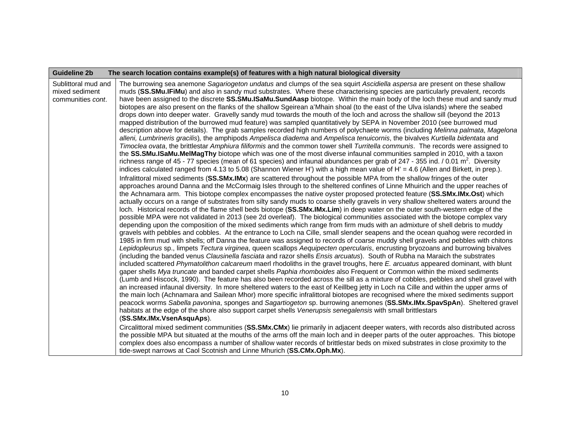| <b>Guideline 2b</b>                                        | The search location contains example(s) of features with a high natural biological diversity                                                                                                                                                                                                                                                                                                                                                                                                                                                                                                                                                                                                                                                                                                                                                                                                                                                                                                                                                                                                                                                                                                                                                                                                                                                                                                                                                                                                                                                                                                                                                                                                                                                                                                                                                                                                                                                                                                                                                                                                                                                                                                                                                                                                                                                                                                                                                                                                                                                                                    |
|------------------------------------------------------------|---------------------------------------------------------------------------------------------------------------------------------------------------------------------------------------------------------------------------------------------------------------------------------------------------------------------------------------------------------------------------------------------------------------------------------------------------------------------------------------------------------------------------------------------------------------------------------------------------------------------------------------------------------------------------------------------------------------------------------------------------------------------------------------------------------------------------------------------------------------------------------------------------------------------------------------------------------------------------------------------------------------------------------------------------------------------------------------------------------------------------------------------------------------------------------------------------------------------------------------------------------------------------------------------------------------------------------------------------------------------------------------------------------------------------------------------------------------------------------------------------------------------------------------------------------------------------------------------------------------------------------------------------------------------------------------------------------------------------------------------------------------------------------------------------------------------------------------------------------------------------------------------------------------------------------------------------------------------------------------------------------------------------------------------------------------------------------------------------------------------------------------------------------------------------------------------------------------------------------------------------------------------------------------------------------------------------------------------------------------------------------------------------------------------------------------------------------------------------------------------------------------------------------------------------------------------------------|
| Sublittoral mud and<br>mixed sediment<br>communities cont. | The burrowing sea anemone Sagariogeton undatus and clumps of the sea squirt Ascidiella aspersa are present on these shallow<br>muds (SS.SMu.IFiMu) and also in sandy mud substrates. Where these characterising species are particularly prevalent, records<br>have been assigned to the discrete SS.SMu.ISaMu.SundAasp biotope. Within the main body of the loch these mud and sandy mud<br>biotopes are also present on the flanks of the shallow Sgeirean a'Mhain shoal (to the east of the Ulva islands) where the seabed<br>drops down into deeper water. Gravelly sandy mud towards the mouth of the loch and across the shallow sill (beyond the 2013<br>mapped distribution of the burrowed mud feature) was sampled quantitatively by SEPA in November 2010 (see burrowed mud<br>description above for details). The grab samples recorded high numbers of polychaete worms (including Melinna palmata, Magelona<br>alleni, Lumbrineris gracilis), the amphipods Ampelisca diadema and Ampelisca tenuicornis, the bivalves Kurtiella bidentata and<br>Timoclea ovata, the brittlestar Amphiura filiformis and the common tower shell Turritella communis. The records were assigned to<br>the SS.SMu.ISaMu.MelMagThy biotope which was one of the most diverse infaunal communities sampled in 2010, with a taxon<br>richness range of 45 - 77 species (mean of 61 species) and infaunal abundances per grab of 247 - 355 ind. / 0.01 m <sup>2</sup> . Diversity<br>indices calculated ranged from 4.13 to 5.08 (Shannon Wiener H') with a high mean value of H' = 4.6 (Allen and Birkett, in prep.).                                                                                                                                                                                                                                                                                                                                                                                                                                                                                                                                                                                                                                                                                                                                                                                                                                                                                                                                                                  |
|                                                            | Infralittoral mixed sediments (SS.SMx.IMx) are scattered throughout the possible MPA from the shallow fringes of the outer<br>approaches around Danna and the McCormaig Isles through to the sheltered confines of Linne Mhuirich and the upper reaches of<br>the Achnamara arm. This biotope complex encompasses the native oyster proposed protected feature (SS.SMx.IMx.Ost) which<br>actually occurs on a range of substrates from silty sandy muds to coarse shelly gravels in very shallow sheltered waters around the<br>loch. Historical records of the flame shell beds biotope (SS.SMx.IMx.Lim) in deep water on the outer south-western edge of the<br>possible MPA were not validated in 2013 (see 2d overleaf). The biological communities associated with the biotope complex vary<br>depending upon the composition of the mixed sediments which range from firm muds with an admixture of shell debris to muddy<br>gravels with pebbles and cobbles. At the entrance to Loch na Cille, small slender seapens and the ocean quahog were recorded in<br>1985 in firm mud with shells; off Danna the feature was assigned to records of coarse muddy shell gravels and pebbles with chitons<br>Lepidopleurus sp., limpets Tectura virginea, queen scallops Aequipecten opercularis, encrusting bryozoans and burrowing bivalves<br>(including the banded venus Clausinella fasciata and razor shells Ensis arcuatus). South of Rubha na Maraich the substrates<br>included scattered Phymatolithon calcareum maerl rhodoliths in the gravel troughs, here E. arcuatus appeared dominant, with blunt<br>gaper shells Mya truncate and banded carpet shells Paphia rhomboides also Frequent or Common within the mixed sediments<br>(Lumb and Hiscock, 1990). The feature has also been recorded across the sill as a mixture of cobbles, pebbles and shell gravel with<br>an increased infaunal diversity. In more sheltered waters to the east of Keillbeg jetty in Loch na Cille and within the upper arms of<br>the main loch (Achnamara and Sailean Mhor) more specific infralittoral biotopes are recognised where the mixed sediments support<br>peacock worms Sabella pavonina, sponges and Sagartiogeton sp. burrowing anemones (SS.SMx.IMx.SpavSpAn). Sheltered gravel<br>habitats at the edge of the shore also support carpet shells Venerupsis senegalensis with small brittlestars<br>(SS.SMx.IMx.VsenAsquAps).<br>Circalittoral mixed sediment communities (SS.SMx.CMx) lie primarily in adjacent deeper waters, with records also distributed across |
|                                                            | the possible MPA but situated at the mouths of the arms off the main loch and in deeper parts of the outer approaches. This biotope<br>complex does also encompass a number of shallow water records of brittlestar beds on mixed substrates in close proximity to the<br>tide-swept narrows at Caol Scotnish and Linne Mhurich (SS.CMx.Oph.Mx).                                                                                                                                                                                                                                                                                                                                                                                                                                                                                                                                                                                                                                                                                                                                                                                                                                                                                                                                                                                                                                                                                                                                                                                                                                                                                                                                                                                                                                                                                                                                                                                                                                                                                                                                                                                                                                                                                                                                                                                                                                                                                                                                                                                                                                |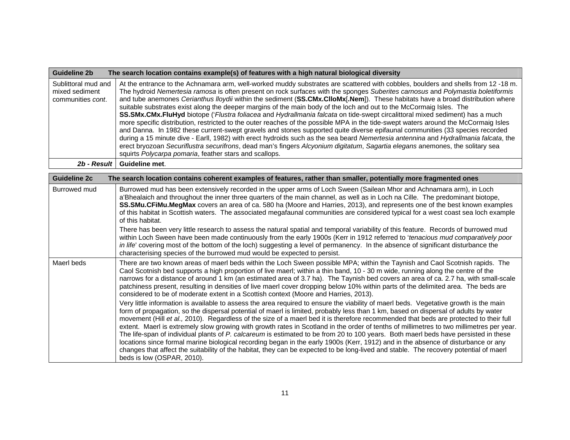| Guideline 2b                                                       | The search location contains example(s) of features with a high natural biological diversity                                                                                                                                                                                                                                                                                                                                                                                                                                                                                                                                                                                                                                                                                                                                                                                                                                                                                                                                                                                                                                                                                                                                                                          |
|--------------------------------------------------------------------|-----------------------------------------------------------------------------------------------------------------------------------------------------------------------------------------------------------------------------------------------------------------------------------------------------------------------------------------------------------------------------------------------------------------------------------------------------------------------------------------------------------------------------------------------------------------------------------------------------------------------------------------------------------------------------------------------------------------------------------------------------------------------------------------------------------------------------------------------------------------------------------------------------------------------------------------------------------------------------------------------------------------------------------------------------------------------------------------------------------------------------------------------------------------------------------------------------------------------------------------------------------------------|
| Sublittoral mud and<br>mixed sediment<br>communities <i>cont</i> . | At the entrance to the Achnamara arm, well-worked muddy substrates are scattered with cobbles, boulders and shells from 12-18 m.<br>The hydroid Nemertesia ramosa is often present on rock surfaces with the sponges Suberites carnosus and Polymastia boletiformis<br>and tube anemones Cerianthus lloydii within the sediment (SS.CMx.ClloMx[.Nem]). These habitats have a broad distribution where<br>suitable substrates exist along the deeper margins of the main body of the loch and out to the McCormaig Isles. The<br>SS.SMx.CMx.FluHyd biotope ('Flustra foliacea and Hydrallmania falcata on tide-swept circalittoral mixed sediment) has a much<br>more specific distribution, restricted to the outer reaches of the possible MPA in the tide-swept waters around the McCormaig Isles<br>and Danna. In 1982 these current-swept gravels and stones supported quite diverse epifaunal communities (33 species recorded<br>during a 15 minute dive - Earll, 1982) with erect hydroids such as the sea beard Nemertesia antennina and Hydrallmania falcata, the<br>erect bryozoan Securiflustra securifrons, dead man's fingers Alcyonium digitatum, Sagartia elegans anemones, the solitary sea<br>squirts Polycarpa pomaria, feather stars and scallops. |
| $2b$ - Result $\vert$                                              | Guideline met.                                                                                                                                                                                                                                                                                                                                                                                                                                                                                                                                                                                                                                                                                                                                                                                                                                                                                                                                                                                                                                                                                                                                                                                                                                                        |

| Guideline 2c | The search location contains coherent examples of features, rather than smaller, potentially more fragmented ones                                                                                                                                                                                                                                                                                                                                                                                                                                                                                                                                                                                                                                                                                                                                                                                                                                                                                                    |
|--------------|----------------------------------------------------------------------------------------------------------------------------------------------------------------------------------------------------------------------------------------------------------------------------------------------------------------------------------------------------------------------------------------------------------------------------------------------------------------------------------------------------------------------------------------------------------------------------------------------------------------------------------------------------------------------------------------------------------------------------------------------------------------------------------------------------------------------------------------------------------------------------------------------------------------------------------------------------------------------------------------------------------------------|
| Burrowed mud | Burrowed mud has been extensively recorded in the upper arms of Loch Sween (Sailean Mhor and Achnamara arm), in Loch<br>a'Bhealaich and throughout the inner three quarters of the main channel, as well as in Loch na Cille. The predominant biotope,<br>SS.SMu.CFiMu.MegMax covers an area of ca. 580 ha (Moore and Harries, 2013), and represents one of the best known examples<br>of this habitat in Scottish waters. The associated megafaunal communities are considered typical for a west coast sea loch example<br>of this habitat.                                                                                                                                                                                                                                                                                                                                                                                                                                                                        |
|              | There has been very little research to assess the natural spatial and temporal variability of this feature. Records of burrowed mud<br>within Loch Sween have been made continuously from the early 1900s (Kerr in 1912 referred to 'tenacious mud comparatively poor<br>in life' covering most of the bottom of the loch) suggesting a level of permanency. In the absence of significant disturbance the<br>characterising species of the burrowed mud would be expected to persist.                                                                                                                                                                                                                                                                                                                                                                                                                                                                                                                               |
| Maerl beds   | There are two known areas of maerl beds within the Loch Sween possible MPA; within the Taynish and Caol Scotnish rapids. The<br>Caol Scotnish bed supports a high proportion of live maerl; within a thin band, 10 - 30 m wide, running along the centre of the<br>narrows for a distance of around 1 km (an estimated area of 3.7 ha). The Taynish bed covers an area of ca. 2.7 ha, with small-scale<br>patchiness present, resulting in densities of live maerl cover dropping below 10% within parts of the delimited area. The beds are<br>considered to be of moderate extent in a Scottish context (Moore and Harries, 2013).                                                                                                                                                                                                                                                                                                                                                                                 |
|              | Very little information is available to assess the area required to ensure the viability of maerl beds. Vegetative growth is the main<br>form of propagation, so the dispersal potential of maerl is limited, probably less than 1 km, based on dispersal of adults by water<br>movement (Hill et al., 2010). Regardless of the size of a maerl bed it is therefore recommended that beds are protected to their full<br>extent. Maerl is extremely slow growing with growth rates in Scotland in the order of tenths of millimetres to two millimetres per year.<br>The life-span of individual plants of P. calcareum is estimated to be from 20 to 100 years. Both maerl beds have persisted in these<br>locations since formal marine biological recording began in the early 1900s (Kerr, 1912) and in the absence of disturbance or any<br>changes that affect the suitability of the habitat, they can be expected to be long-lived and stable. The recovery potential of maerl<br>beds is low (OSPAR, 2010). |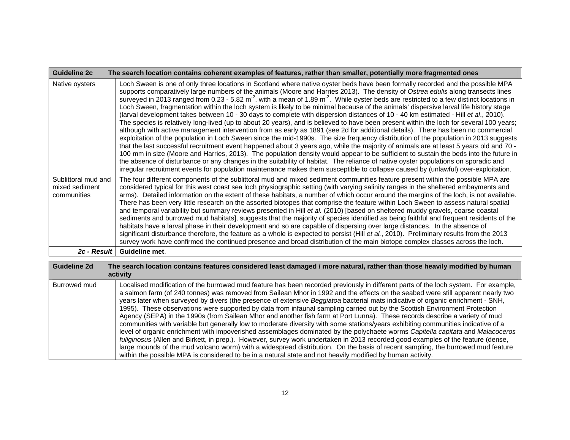| <b>Guideline 2c</b>                                  | The search location contains coherent examples of features, rather than smaller, potentially more fragmented ones                                                                                                                                                                                                                                                                                                                                                                                                                                                                                                                                                                                                                                                                                                                                                                                                                                                                                                                                                                                                                                                                                                                                                                                                                                                                                                                                                                                                                                                                                                                                                                         |
|------------------------------------------------------|-------------------------------------------------------------------------------------------------------------------------------------------------------------------------------------------------------------------------------------------------------------------------------------------------------------------------------------------------------------------------------------------------------------------------------------------------------------------------------------------------------------------------------------------------------------------------------------------------------------------------------------------------------------------------------------------------------------------------------------------------------------------------------------------------------------------------------------------------------------------------------------------------------------------------------------------------------------------------------------------------------------------------------------------------------------------------------------------------------------------------------------------------------------------------------------------------------------------------------------------------------------------------------------------------------------------------------------------------------------------------------------------------------------------------------------------------------------------------------------------------------------------------------------------------------------------------------------------------------------------------------------------------------------------------------------------|
| Native oysters                                       | Loch Sween is one of only three locations in Scotland where native oyster beds have been formally recorded and the possible MPA<br>supports comparatively large numbers of the animals (Moore and Harries 2013). The density of Ostrea edulis along transects lines<br>surveyed in 2013 ranged from 0.23 - 5.82 $m^2$ , with a mean of 1.89 $m^2$ . While oyster beds are restricted to a few distinct locations in<br>Loch Sween, fragmentation within the loch system is likely to be minimal because of the animals' dispersive larval life history stage<br>(larval development takes between 10 - 30 days to complete with dispersion distances of 10 - 40 km estimated - Hill et al., 2010).<br>The species is relatively long-lived (up to about 20 years), and is believed to have been present within the loch for several 100 years;<br>although with active management intervention from as early as 1891 (see 2d for additional details). There has been no commercial<br>exploitation of the population in Loch Sween since the mid-1990s. The size frequency distribution of the population in 2013 suggests<br>that the last successful recruitment event happened about 3 years ago, while the majority of animals are at least 5 years old and 70 -<br>100 mm in size (Moore and Harries, 2013). The population density would appear to be sufficient to sustain the beds into the future in<br>the absence of disturbance or any changes in the suitability of habitat. The reliance of native oyster populations on sporadic and<br>irregular recruitment events for population maintenance makes them susceptible to collapse caused by (unlawful) over-exploitation. |
| Sublittoral mud and<br>mixed sediment<br>communities | The four different components of the sublittoral mud and mixed sediment communities feature present within the possible MPA are<br>considered typical for this west coast sea loch physiographic setting (with varying salinity ranges in the sheltered embayments and<br>arms). Detailed information on the extent of these habitats, a number of which occur around the margins of the loch, is not available.<br>There has been very little research on the assorted biotopes that comprise the feature within Loch Sween to assess natural spatial<br>and temporal variability but summary reviews presented in Hill et al. (2010) [based on sheltered muddy gravels, coarse coastal<br>sediments and burrowed mud habitats], suggests that the majority of species identified as being faithful and frequent residents of the<br>habitats have a larval phase in their development and so are capable of dispersing over large distances. In the absence of<br>significant disturbance therefore, the feature as a whole is expected to persist (Hill et al., 2010). Preliminary results from the 2013<br>survey work have confirmed the continued presence and broad distribution of the main biotope complex classes across the loch.                                                                                                                                                                                                                                                                                                                                                                                                                                              |
| 2c - Result I                                        | Guideline met.                                                                                                                                                                                                                                                                                                                                                                                                                                                                                                                                                                                                                                                                                                                                                                                                                                                                                                                                                                                                                                                                                                                                                                                                                                                                                                                                                                                                                                                                                                                                                                                                                                                                            |

| Guideline 2d | The search location contains features considered least damaged / more natural, rather than those heavily modified by human<br>activity                                                                                                                                                                                                                                                                                                                                                                                                                                                                                                                                                                                                                                                                                                                                                                                                                                                                                                                                                                                                                                                                                                                                                                                              |
|--------------|-------------------------------------------------------------------------------------------------------------------------------------------------------------------------------------------------------------------------------------------------------------------------------------------------------------------------------------------------------------------------------------------------------------------------------------------------------------------------------------------------------------------------------------------------------------------------------------------------------------------------------------------------------------------------------------------------------------------------------------------------------------------------------------------------------------------------------------------------------------------------------------------------------------------------------------------------------------------------------------------------------------------------------------------------------------------------------------------------------------------------------------------------------------------------------------------------------------------------------------------------------------------------------------------------------------------------------------|
| Burrowed mud | Localised modification of the burrowed mud feature has been recorded previously in different parts of the loch system. For example,<br>a salmon farm (of 240 tonnes) was removed from Sailean Mhor in 1992 and the effects on the seabed were still apparent nearly two<br>years later when surveyed by divers (the presence of extensive Beggiatoa bacterial mats indicative of organic enrichment - SNH,<br>1995). These observations were supported by data from infaunal sampling carried out by the Scottish Environment Protection<br>Agency (SEPA) in the 1990s (from Sailean Mhor and another fish farm at Port Lunna). These records describe a variety of mud<br>communities with variable but generally low to moderate diversity with some stations/years exhibiting communities indicative of a<br>level of organic enrichment with impoverished assemblages dominated by the polychaete worms Capitella capitata and Malacoceros<br>fuliginosus (Allen and Birkett, in prep.). However, survey work undertaken in 2013 recorded good examples of the feature (dense,<br>large mounds of the mud volcano worm) with a widespread distribution. On the basis of recent sampling, the burrowed mud feature<br>within the possible MPA is considered to be in a natural state and not heavily modified by human activity. |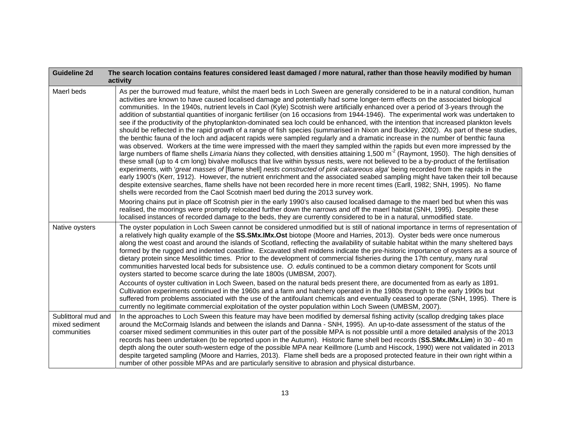| <b>Guideline 2d</b>                                  | The search location contains features considered least damaged / more natural, rather than those heavily modified by human<br>activity                                                                                                                                                                                                                                                                                                                                                                                                                                                                                                                                                                                                                                                                                                                                                                                                                                                                                                                                                                                                                                                                                                                                                                                                                                                                                                                                                                                                                                                                                                                                                                                                                                                                                                                                                                                                                                                                                                                                                                                                                                                                                                                                                                  |
|------------------------------------------------------|---------------------------------------------------------------------------------------------------------------------------------------------------------------------------------------------------------------------------------------------------------------------------------------------------------------------------------------------------------------------------------------------------------------------------------------------------------------------------------------------------------------------------------------------------------------------------------------------------------------------------------------------------------------------------------------------------------------------------------------------------------------------------------------------------------------------------------------------------------------------------------------------------------------------------------------------------------------------------------------------------------------------------------------------------------------------------------------------------------------------------------------------------------------------------------------------------------------------------------------------------------------------------------------------------------------------------------------------------------------------------------------------------------------------------------------------------------------------------------------------------------------------------------------------------------------------------------------------------------------------------------------------------------------------------------------------------------------------------------------------------------------------------------------------------------------------------------------------------------------------------------------------------------------------------------------------------------------------------------------------------------------------------------------------------------------------------------------------------------------------------------------------------------------------------------------------------------------------------------------------------------------------------------------------------------|
| Maerl beds                                           | As per the burrowed mud feature, whilst the maerl beds in Loch Sween are generally considered to be in a natural condition, human<br>activities are known to have caused localised damage and potentially had some longer-term effects on the associated biological<br>communities. In the 1940s, nutrient levels in Caol (Kyle) Scotnish were artificially enhanced over a period of 3-years through the<br>addition of substantial quantities of inorganic fertiliser (on 16 occasions from 1944-1946). The experimental work was undertaken to<br>see if the productivity of the phytoplankton-dominated sea loch could be enhanced, with the intention that increased plankton levels<br>should be reflected in the rapid growth of a range of fish species (summarised in Nixon and Buckley, 2002). As part of these studies,<br>the benthic fauna of the loch and adjacent rapids were sampled regularly and a dramatic increase in the number of benthic fauna<br>was observed. Workers at the time were impressed with the maerl they sampled within the rapids but even more impressed by the<br>large numbers of flame shells Limaria hians they collected, with densities attaining 1,500 m <sup>-2</sup> (Raymont, 1950). The high densities of<br>these small (up to 4 cm long) bivalve molluscs that live within byssus nests, were not believed to be a by-product of the fertilisation<br>experiments, with 'great masses of [flame shell] nests constructed of pink calcareous alga' being recorded from the rapids in the<br>early 1900's (Kerr, 1912). However, the nutrient enrichment and the associated seabed sampling might have taken their toll because<br>despite extensive searches, flame shells have not been recorded here in more recent times (Earll, 1982; SNH, 1995). No flame<br>shells were recorded from the Caol Scotnish maerl bed during the 2013 survey work.<br>Mooring chains put in place off Scotnish pier in the early 1990's also caused localised damage to the maerl bed but when this was<br>realised, the moorings were promptly relocated further down the narrows and off the maerl habitat (SNH, 1995). Despite these<br>localised instances of recorded damage to the beds, they are currently considered to be in a natural, unmodified state. |
| Native oysters                                       | The oyster population in Loch Sween cannot be considered unmodified but is still of national importance in terms of representation of<br>a relatively high quality example of the SS.SMx.IMx.Ost biotope (Moore and Harries, 2013). Oyster beds were once numerous<br>along the west coast and around the islands of Scotland, reflecting the availability of suitable habitat within the many sheltered bays<br>formed by the rugged and indented coastline. Excavated shell middens indicate the pre-historic importance of oysters as a source of<br>dietary protein since Mesolithic times. Prior to the development of commercial fisheries during the 17th century, many rural<br>communities harvested local beds for subsistence use. O. edulis continued to be a common dietary component for Scots until<br>oysters started to become scarce during the late 1800s (UMBSM, 2007).<br>Accounts of oyster cultivation in Loch Sween, based on the natural beds present there, are documented from as early as 1891.<br>Cultivation experiments continued in the 1960s and a farm and hatchery operated in the 1980s through to the early 1990s but<br>suffered from problems associated with the use of the antifoulant chemicals and eventually ceased to operate (SNH, 1995). There is<br>currently no legitimate commercial exploitation of the oyster population within Loch Sween (UMBSM, 2007).                                                                                                                                                                                                                                                                                                                                                                                                                                                                                                                                                                                                                                                                                                                                                                                                                                                                                           |
| Sublittoral mud and<br>mixed sediment<br>communities | In the approaches to Loch Sween this feature may have been modified by demersal fishing activity (scallop dredging takes place<br>around the McCormaig Islands and between the islands and Danna - SNH, 1995). An up-to-date assessment of the status of the<br>coarser mixed sediment communities in this outer part of the possible MPA is not possible until a more detailed analysis of the 2013<br>records has been undertaken (to be reported upon in the Autumn). Historic flame shell bed records (SS.SMx.IMx.Lim) in 30 - 40 m<br>depth along the outer south-western edge of the possible MPA near Keillmore (Lumb and Hiscock, 1990) were not validated in 2013<br>despite targeted sampling (Moore and Harries, 2013). Flame shell beds are a proposed protected feature in their own right within a<br>number of other possible MPAs and are particularly sensitive to abrasion and physical disturbance.                                                                                                                                                                                                                                                                                                                                                                                                                                                                                                                                                                                                                                                                                                                                                                                                                                                                                                                                                                                                                                                                                                                                                                                                                                                                                                                                                                                  |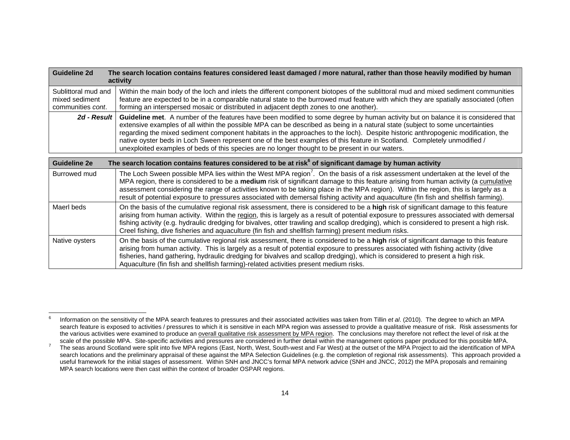| Guideline 2d                                               | The search location contains features considered least damaged / more natural, rather than those heavily modified by human<br>activity                                                                                                                                                                                                                                                                                                                                                                                                                                                                                               |
|------------------------------------------------------------|--------------------------------------------------------------------------------------------------------------------------------------------------------------------------------------------------------------------------------------------------------------------------------------------------------------------------------------------------------------------------------------------------------------------------------------------------------------------------------------------------------------------------------------------------------------------------------------------------------------------------------------|
| Sublittoral mud and<br>mixed sediment<br>communities cont. | Within the main body of the loch and inlets the different component biotopes of the sublittoral mud and mixed sediment communities<br>feature are expected to be in a comparable natural state to the burrowed mud feature with which they are spatially associated (often<br>forming an interspersed mosaic or distributed in adjacent depth zones to one another).                                                                                                                                                                                                                                                                 |
| 2d - Result                                                | Guideline met. A number of the features have been modified to some degree by human activity but on balance it is considered that<br>extensive examples of all within the possible MPA can be described as being in a natural state (subject to some uncertainties<br>regarding the mixed sediment component habitats in the approaches to the loch). Despite historic anthropogenic modification, the<br>native oyster beds in Loch Sween represent one of the best examples of this feature in Scotland. Completely unmodified /<br>unexploited examples of beds of this species are no longer thought to be present in our waters. |
| <b>Guideline 2e</b>                                        | The search location contains features considered to be at risk <sup>6</sup> of significant damage by human activity                                                                                                                                                                                                                                                                                                                                                                                                                                                                                                                  |
| <b>Burrowed mud</b>                                        | The Loch Sween possible MPA lies within the West MPA region <sup>7</sup> . On the basis of a risk assessment undertaken at the level of the<br>MPA region, there is considered to be a medium risk of significant damage to this feature arising from human activity (a cumulative<br>assessment considering the range of activities known to be taking place in the MPA region). Within the region, this is largely as a<br>result of potential exposure to pressures associated with demersal fishing activity and aquaculture (fin fish and shellfish farming).                                                                   |
| Maerl beds                                                 | On the basis of the cumulative regional risk assessment, there is considered to be a high risk of significant damage to this feature<br>arising from human activity. Within the region, this is largely as a result of potential exposure to pressures associated with demersal<br>fishing activity (e.g. hydraulic dredging for bivalves, otter trawling and scallop dredging), which is considered to present a high risk.<br>Creel fishing, dive fisheries and aquaculture (fin fish and shellfish farming) present medium risks.                                                                                                 |
| Native oysters                                             | On the basis of the cumulative regional risk assessment, there is considered to be a high risk of significant damage to this feature<br>arising from human activity. This is largely as a result of potential exposure to pressures associated with fishing activity (dive<br>fisheries, hand gathering, hydraulic dredging for bivalves and scallop dredging), which is considered to present a high risk.                                                                                                                                                                                                                          |

Aquaculture (fin fish and shellfish farming)-related activities present medium risks.

<sup>&</sup>lt;sup>6</sup> Information on the sensitivity of the MPA search features to pressures and their associated activities was taken from Tillin *et al.* (2010). The degree to which an MPA search feature is exposed to activities / pressures to which it is sensitive in each MPA region was assessed to provide a qualitative measure of risk. Risk assessments for the various activities were examined to produce an <u>overall qualitative risk assessment by MPA region</u>. The conclusions may therefore not reflect the level of risk at the scale of the possible MPA. Site-specific activities

<sup>&</sup>lt;sup>7</sup> The seas around Scotland were split into five MPA regions (East, North, West, South-west and Far West) at the outset of the MPA Project to aid the identification of MPA search locations and the preliminary appraisal of these against the MPA Selection Guidelines (e.g. the completion of regional risk assessments). This approach provided a useful framework for the initial stages of assessment. Within SNH and JNCC's formal MPA network advice (SNH and JNCC, 2012) the MPA proposals and remaining MPA search locations were then cast within the context of broader OSPAR regions.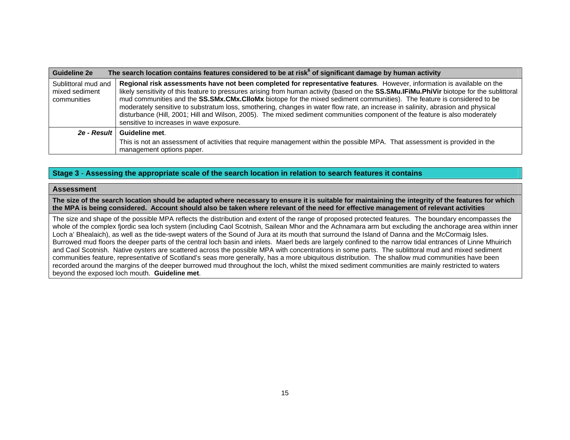| <b>Guideline 2e</b>                                  | The search location contains features considered to be at risk <sup>6</sup> of significant damage by human activity                                                                                                                                                                                                                                                                                                                                                                                                                                                                                                                                                                                          |
|------------------------------------------------------|--------------------------------------------------------------------------------------------------------------------------------------------------------------------------------------------------------------------------------------------------------------------------------------------------------------------------------------------------------------------------------------------------------------------------------------------------------------------------------------------------------------------------------------------------------------------------------------------------------------------------------------------------------------------------------------------------------------|
| Sublittoral mud and<br>mixed sediment<br>communities | Regional risk assessments have not been completed for representative features. However, information is available on the<br>likely sensitivity of this feature to pressures arising from human activity (based on the SS.SMu.IFiMu.PhiVir biotope for the sublittoral<br>mud communities and the SS.SMx.CMx.CIIoMx biotope for the mixed sediment communities). The feature is considered to be<br>moderately sensitive to substratum loss, smothering, changes in water flow rate, an increase in salinity, abrasion and physical<br>disturbance (Hill, 2001; Hill and Wilson, 2005). The mixed sediment communities component of the feature is also moderately<br>sensitive to increases in wave exposure. |
| 2e - Result                                          | Guideline met.                                                                                                                                                                                                                                                                                                                                                                                                                                                                                                                                                                                                                                                                                               |
|                                                      | This is not an assessment of activities that require management within the possible MPA. That assessment is provided in the<br>management options paper.                                                                                                                                                                                                                                                                                                                                                                                                                                                                                                                                                     |

#### **Stage 3** - **Assessing the appropriate scale of the search location in relation to search features it contains**

#### **Assessment**

**The size of the search location should be adapted where necessary to ensure it is suitable for maintaining the integrity of the features for which the MPA is being considered. Account should also be taken where relevant of the need for effective management of relevant activities** 

The size and shape of the possible MPA reflects the distribution and extent of the range of proposed protected features. The boundary encompasses the whole of the complex fjordic sea loch system (including Caol Scotnish, Sailean Mhor and the Achnamara arm but excluding the anchorage area within inner Loch a' Bhealaich), as well as the tide-swept waters of the Sound of Jura at its mouth that surround the Island of Danna and the McCormaig Isles. Burrowed mud floors the deeper parts of the central loch basin and inlets. Maerl beds are largely confined to the narrow tidal entrances of Linne Mhuirich and Caol Scotnish. Native oysters are scattered across the possible MPA with concentrations in some parts. The sublittoral mud and mixed sediment communities feature, representative of Scotland's seas more generally, has a more ubiquitous distribution. The shallow mud communities have been recorded around the margins of the deeper burrowed mud throughout the loch, whilst the mixed sediment communities are mainly restricted to waters beyond the exposed loch mouth. **Guideline met**.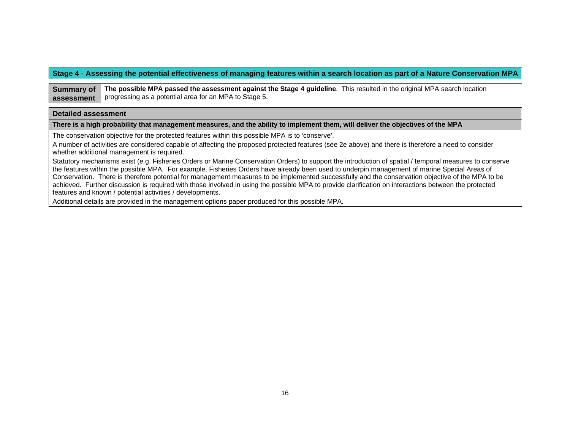### **Stage 4** - **Assessing the potential effectiveness of managing features within a search location as part of a Nature Conservation MPA**

**Summary of assessmentThe possible MPA passed the assessment against the Stage 4 guideline**. This resulted in the original MPA search location progressing as a potential area for an MPA to Stage 5.

#### **Detailed assessment**

**There is a high probability that management measures, and the ability to implement them, will deliver the objectives of the MPA**

The conservation objective for the protected features within this possible MPA is to 'conserve'.

A number of activities are considered capable of affecting the proposed protected features (see 2e above) and there is therefore a need to consider whether additional management is required.

Statutory mechanisms exist (e.g. Fisheries Orders or Marine Conservation Orders) to support the introduction of spatial / temporal measures to conserve the features within the possible MPA. For example, Fisheries Orders have already been used to underpin management of marine Special Areas of Conservation. There is therefore potential for management measures to be implemented successfully and the conservation objective of the MPA to be achieved. Further discussion is required with those involved in using the possible MPA to provide clarification on interactions between the protected features and known / potential activities / developments.

Additional details are provided in the management options paper produced for this possible MPA.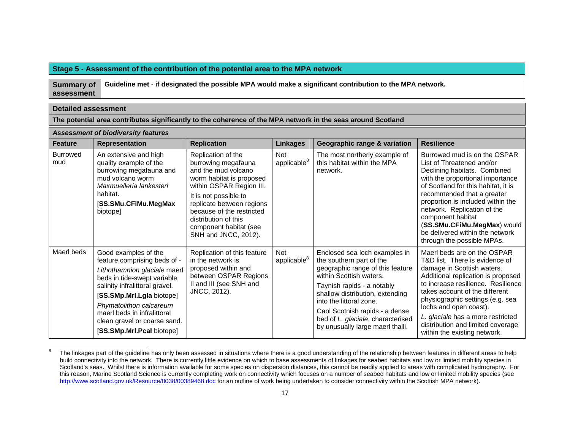### **Stage 5** - **Assessment of the contribution of the potential area to the MPA network**

**Summary of assessmentGuideline met** - **if designated the possible MPA would make a significant contribution to the MPA network.** 

| <b>Detailed assessment</b> |                                                                                                                                                                                                                                                                                                           |                                                                                                                                                                                                                                                                                       |                                       |                                                                                                                                                                                                                                                                                                                                 |                                                                                                                                                                                                                                                                                                                                                                                             |
|----------------------------|-----------------------------------------------------------------------------------------------------------------------------------------------------------------------------------------------------------------------------------------------------------------------------------------------------------|---------------------------------------------------------------------------------------------------------------------------------------------------------------------------------------------------------------------------------------------------------------------------------------|---------------------------------------|---------------------------------------------------------------------------------------------------------------------------------------------------------------------------------------------------------------------------------------------------------------------------------------------------------------------------------|---------------------------------------------------------------------------------------------------------------------------------------------------------------------------------------------------------------------------------------------------------------------------------------------------------------------------------------------------------------------------------------------|
|                            |                                                                                                                                                                                                                                                                                                           |                                                                                                                                                                                                                                                                                       |                                       | The potential area contributes significantly to the coherence of the MPA network in the seas around Scotland                                                                                                                                                                                                                    |                                                                                                                                                                                                                                                                                                                                                                                             |
|                            | <b>Assessment of biodiversity features</b>                                                                                                                                                                                                                                                                |                                                                                                                                                                                                                                                                                       |                                       |                                                                                                                                                                                                                                                                                                                                 |                                                                                                                                                                                                                                                                                                                                                                                             |
| <b>Feature</b>             | <b>Representation</b>                                                                                                                                                                                                                                                                                     | <b>Replication</b>                                                                                                                                                                                                                                                                    | <b>Linkages</b>                       | Geographic range & variation                                                                                                                                                                                                                                                                                                    | <b>Resilience</b>                                                                                                                                                                                                                                                                                                                                                                           |
| <b>Burrowed</b><br>mud     | An extensive and high<br>quality example of the<br>burrowing megafauna and<br>mud volcano worm<br>Maxmuelleria lankesteri<br>habitat.<br>[SS.SMu.CFiMu.MegMax<br>biotope]                                                                                                                                 | Replication of the<br>burrowing megafauna<br>and the mud volcano<br>worm habitat is proposed<br>within OSPAR Region III.<br>It is not possible to<br>replicate between regions<br>because of the restricted<br>distribution of this<br>component habitat (see<br>SNH and JNCC, 2012). | <b>Not</b><br>applicable <sup>8</sup> | The most northerly example of<br>this habitat within the MPA<br>network.                                                                                                                                                                                                                                                        | Burrowed mud is on the OSPAR<br>List of Threatened and/or<br>Declining habitats. Combined<br>with the proportional importance<br>of Scotland for this habitat, it is<br>recommended that a greater<br>proportion is included within the<br>network. Replication of the<br>component habitat<br>(SS.SMu.CFiMu.MegMax) would<br>be delivered within the network<br>through the possible MPAs. |
| Maerl beds                 | Good examples of the<br>feature comprising beds of -<br>Lithothamnion glaciale maerl<br>beds in tide-swept variable<br>salinity infralittoral gravel.<br>[SS.SMp.Mrl.Lgla biotope]<br>Phymatolithon calcareum<br>maerl beds in infralittoral<br>clean gravel or coarse sand.<br>[SS.SMp.Mrl.Pcal biotope] | Replication of this feature<br>in the network is<br>proposed within and<br>between OSPAR Regions<br>II and III (see SNH and<br>JNCC, 2012).                                                                                                                                           | <b>Not</b><br>applicable <sup>8</sup> | Enclosed sea loch examples in<br>the southern part of the<br>geographic range of this feature<br>within Scottish waters.<br>Taynish rapids - a notably<br>shallow distribution, extending<br>into the littoral zone.<br>Caol Scotnish rapids - a dense<br>bed of L. glaciale, characterised<br>by unusually large maerl thalli. | Maerl beds are on the OSPAR<br>T&D list. There is evidence of<br>damage in Scottish waters.<br>Additional replication is proposed<br>to increase resilience. Resilience<br>takes account of the different<br>physiographic settings (e.g. sea<br>lochs and open coast).<br>L. glaciale has a more restricted<br>distribution and limited coverage<br>within the existing network.           |

<sup>&</sup>lt;sup>8</sup> The linkages part of the guideline has only been assessed in situations where there is a good understanding of the relationship between features in different areas to help build connectivity into the network. There is currently little evidence on which to base assessments of linkages for seabed habitats and low or limited mobility species in Scotland's seas. Whilst there is information available for some species on dispersion distances, this cannot be readily applied to areas with complicated hydrography. For this reason, Marine Scotland Science is currently completing work on connectivity which focuses on a number of seabed habitats and low or limited mobility species (see http://www.scotland.gov.uk/Resource/0038/00389468.doc for an outline of work being undertaken to consider connectivity within the Scottish MPA network).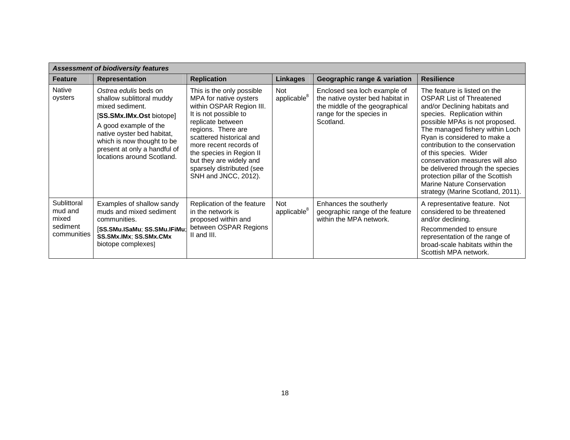| <b>Assessment of biodiversity features</b>                 |                                                                                                                                                                                                                                                      |                                                                                                                                                                                                                                                                                                                       |                                       |                                                                                                                                             |                                                                                                                                                                                                                                                                                                                                                                                                                                                                                   |
|------------------------------------------------------------|------------------------------------------------------------------------------------------------------------------------------------------------------------------------------------------------------------------------------------------------------|-----------------------------------------------------------------------------------------------------------------------------------------------------------------------------------------------------------------------------------------------------------------------------------------------------------------------|---------------------------------------|---------------------------------------------------------------------------------------------------------------------------------------------|-----------------------------------------------------------------------------------------------------------------------------------------------------------------------------------------------------------------------------------------------------------------------------------------------------------------------------------------------------------------------------------------------------------------------------------------------------------------------------------|
| <b>Feature</b>                                             | <b>Representation</b>                                                                                                                                                                                                                                | <b>Replication</b>                                                                                                                                                                                                                                                                                                    | <b>Linkages</b>                       | Geographic range & variation                                                                                                                | <b>Resilience</b>                                                                                                                                                                                                                                                                                                                                                                                                                                                                 |
| Native<br>oysters                                          | Ostrea edulis beds on<br>shallow sublittoral muddy<br>mixed sediment.<br>[SS.SMx.IMx.Ost biotope]<br>A good example of the<br>native oyster bed habitat,<br>which is now thought to be<br>present at only a handful of<br>locations around Scotland. | This is the only possible<br>MPA for native oysters<br>within OSPAR Region III.<br>It is not possible to<br>replicate between<br>regions. There are<br>scattered historical and<br>more recent records of<br>the species in Region II<br>but they are widely and<br>sparsely distributed (see<br>SNH and JNCC, 2012). | <b>Not</b><br>applicable <sup>8</sup> | Enclosed sea loch example of<br>the native oyster bed habitat in<br>the middle of the geographical<br>range for the species in<br>Scotland. | The feature is listed on the<br><b>OSPAR List of Threatened</b><br>and/or Declining habitats and<br>species. Replication within<br>possible MPAs is not proposed.<br>The managed fishery within Loch<br>Ryan is considered to make a<br>contribution to the conservation<br>of this species. Wider<br>conservation measures will also<br>be delivered through the species<br>protection pillar of the Scottish<br>Marine Nature Conservation<br>strategy (Marine Scotland, 2011). |
| Sublittoral<br>mud and<br>mixed<br>sediment<br>communities | Examples of shallow sandy<br>muds and mixed sediment<br>communities.<br>[SS.SMu.ISaMu; SS.SMu.IFiMu;<br>SS.SMx.IMx; SS.SMx.CMx<br>biotope complexes]                                                                                                 | Replication of the feature<br>in the network is<br>proposed within and<br>between OSPAR Regions<br>II and III.                                                                                                                                                                                                        | <b>Not</b><br>applicable <sup>8</sup> | Enhances the southerly<br>geographic range of the feature<br>within the MPA network.                                                        | A representative feature. Not<br>considered to be threatened<br>and/or declining.<br>Recommended to ensure<br>representation of the range of<br>broad-scale habitats within the<br>Scottish MPA network.                                                                                                                                                                                                                                                                          |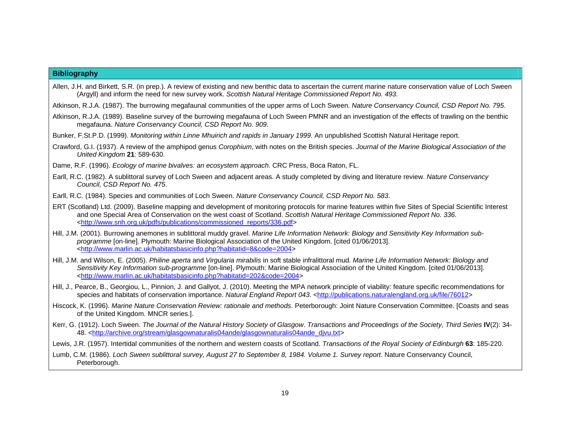#### **Bibliography**

- Allen, J.H. and Birkett, S.R. (in prep.). A review of existing and new benthic data to ascertain the current marine nature conservation value of Loch Sween (Argyll) and inform the need for new survey work. *Scottish Natural Heritage Commissioned Report No. 493*.
- Atkinson, R.J.A. (1987). The burrowing megafaunal communities of the upper arms of Loch Sween. *Nature Conservancy Council, CSD Report No. 795*.
- Atkinson, R.J.A. (1989). Baseline survey of the burrowing megafauna of Loch Sween PMNR and an investigation of the effects of trawling on the benthic megafauna. *Nature Conservancy Council, CSD Report No. 909*.
- Bunker, F.St.P.D. (1999). *Monitoring within Linne Mhuirich and rapids in January 1999*. An unpublished Scottish Natural Heritage report.
- Crawford, G.I. (1937). A review of the amphipod genus *Corophium*, with notes on the British species. *Journal of the Marine Biological Association of the United Kingdom* **21**: 589-630.
- Dame, R.F. (1996). *Ecology of marine bivalves: an ecosystem approach*. CRC Press, Boca Raton, FL.
- Earll, R.C. (1982). A sublittoral survey of Loch Sween and adjacent areas. A study completed by diving and literature review. *Nature Conservancy Council, CSD Report No. 475*.
- Earll, R.C. (1984). Species and communities of Loch Sween. *Nature Conservancy Council, CSD Report No. 583*.
- ERT (Scotland) Ltd. (2009). Baseline mapping and development of monitoring protocols for marine features within five Sites of Special Scientific Interest and one Special Area of Conservation on the west coast of Scotland. *Scottish Natural Heritage Commissioned Report No. 336*. <http://www.snh.org.uk/pdfs/publications/commissioned\_reports/336.pdf>
- Hill, J.M. (2001). Burrowing anemones in sublittoral muddy gravel. *Marine Life Information Network: Biology and Sensitivity Key Information subprogramme* [on-line]. Plymouth: Marine Biological Association of the United Kingdom. [cited 01/06/2013]. <http://www.marlin.ac.uk/habitatsbasicinfo.php?habitatid=8&code=2004>
- Hill, J.M. and Wilson, E. (2005). *Philine aperta* and *Virgularia mirabilis* in soft stable infralittoral mud. *Marine Life Information Network: Biology and Sensitivity Key Information sub-programme* [on-line]. Plymouth: Marine Biological Association of the United Kingdom. [cited 01/06/2013]. <http://www.marlin.ac.uk/habitatsbasicinfo.php?habitatid=202&code=2004>
- Hill, J., Pearce, B., Georgiou, L., Pinnion, J. and Gallyot, J. (2010). Meeting the MPA network principle of viability: feature specific recommendations for species and habitats of conservation importance. *Natural England Report 043*. <a>
dtrp://publications.naturalengland.org.uk/file/76012>
- Hiscock, K. (1996). *Marine Nature Conservation Review: rationale and methods*. Peterborough: Joint Nature Conservation Committee. [Coasts and seas of the United Kingdom. MNCR series.].
- Kerr, G. (1912). Loch Sween. *The Journal of the Natural History Society of Glasgow*. *Transactions and Proceedings of the Society, Third Series* **IV**(2): 34- 48. <http://archive.org/stream/glasgownaturalis04ande/glasgownaturalis04ande\_djvu.txt>

Lewis, J.R. (1957). Intertidal communities of the northern and western coasts of Scotland. *Transactions of the Royal Society of Edinburgh* **63**: 185-220.

Lumb, C.M. (1986). *Loch Sween sublittoral survey, August 27 to September 8, 1984. Volume 1. Survey report*. Nature Conservancy Council, Peterborough.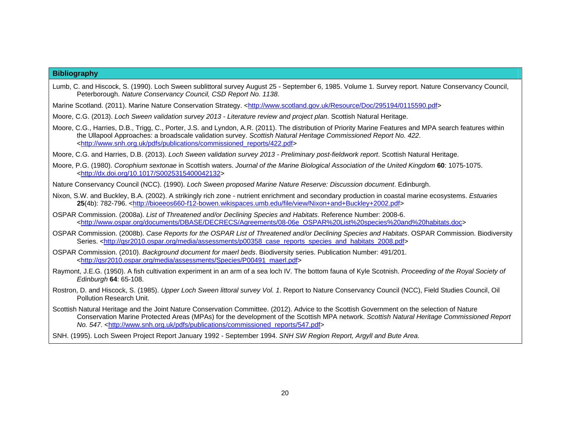#### **Bibliography**

- Lumb, C. and Hiscock, S. (1990). Loch Sween sublittoral survey August 25 September 6, 1985. Volume 1. Survey report. Nature Conservancy Council, Peterborough. *Nature Conservancy Council, CSD Report No. 1138*.
- Marine Scotland. (2011). Marine Nature Conservation Strategy. <http://www.scotland.gov.uk/Resource/Doc/295194/0115590.pdf>
- Moore, C.G. (2013). *Loch Sween validation survey 2013 Literature review and project plan*. Scottish Natural Heritage.
- Moore, C.G., Harries, D.B., Trigg, C., Porter, J.S. and Lyndon, A.R. (2011). The distribution of Priority Marine Features and MPA search features within the Ullapool Approaches: a broadscale validation survey. *Scottish Natural Heritage Commissioned Report No. 422*. <http://www.snh.org.uk/pdfs/publications/commissioned\_reports/422.pdf>
- Moore, C.G. and Harries, D.B. (2013). *Loch Sween validation survey 2013 Preliminary post-fieldwork report*. Scottish Natural Heritage.
- Moore, P.G. (1980). *Corophium sextonae* in Scottish waters. *Journal of the Marine Biological Association of the United Kingdom* **60**: 1075-1075. <http://dx.doi.org/10.1017/S0025315400042132>
- Nature Conservancy Council (NCC). (1990). *Loch Sween proposed Marine Nature Reserve: Discussion document*. Edinburgh.
- Nixon, S.W. and Buckley, B.A. (2002). A strikingly rich zone nutrient enrichment and secondary production in coastal marine ecosystems. *Estuaries*  **25**(4b): 782-796. <http://bioeeos660-f12-bowen.wikispaces.umb.edu/file/view/Nixon+and+Buckley+2002.pdf>
- OSPAR Commission. (2008a). *List of Threatened and/or Declining Species and Habitats*. Reference Number: 2008-6. <http://www.ospar.org/documents/DBASE/DECRECS/Agreements/08-06e\_OSPAR%20List%20species%20and%20habitats.doc>
- OSPAR Commission. (2008b). *Case Reports for the OSPAR List of Threatened and/or Declining Species and Habitats*. OSPAR Commission. Biodiversity Series. <http://qsr2010.ospar.org/media/assessments/p00358\_case\_reports\_species\_and\_habitats\_2008.pdf>
- OSPAR Commission. (2010). *Background document for maerl beds*. Biodiversity series. Publication Number: 491/201. <http://qsr2010.ospar.org/media/assessments/Species/P00491\_maerl.pdf>
- Raymont, J.E.G. (1950). A fish cultivation experiment in an arm of a sea loch IV. The bottom fauna of Kyle Scotnish. *Proceeding of the Royal Society of Edinburgh* **64**: 65-108.
- Rostron, D. and Hiscock, S. (1985). *Upper Loch Sween littoral survey Vol. 1*. Report to Nature Conservancy Council (NCC), Field Studies Council, Oil Pollution Research Unit.
- Scottish Natural Heritage and the Joint Nature Conservation Committee. (2012). Advice to the Scottish Government on the selection of Nature Conservation Marine Protected Areas (MPAs) for the development of the Scottish MPA network. *Scottish Natural Heritage Commissioned Report No. 547.* <http://www.snh.org.uk/pdfs/publications/commissioned\_reports/547.pdf>
- SNH. (1995). Loch Sween Project Report January 1992 September 1994. *SNH SW Region Report, Argyll and Bute Area*.